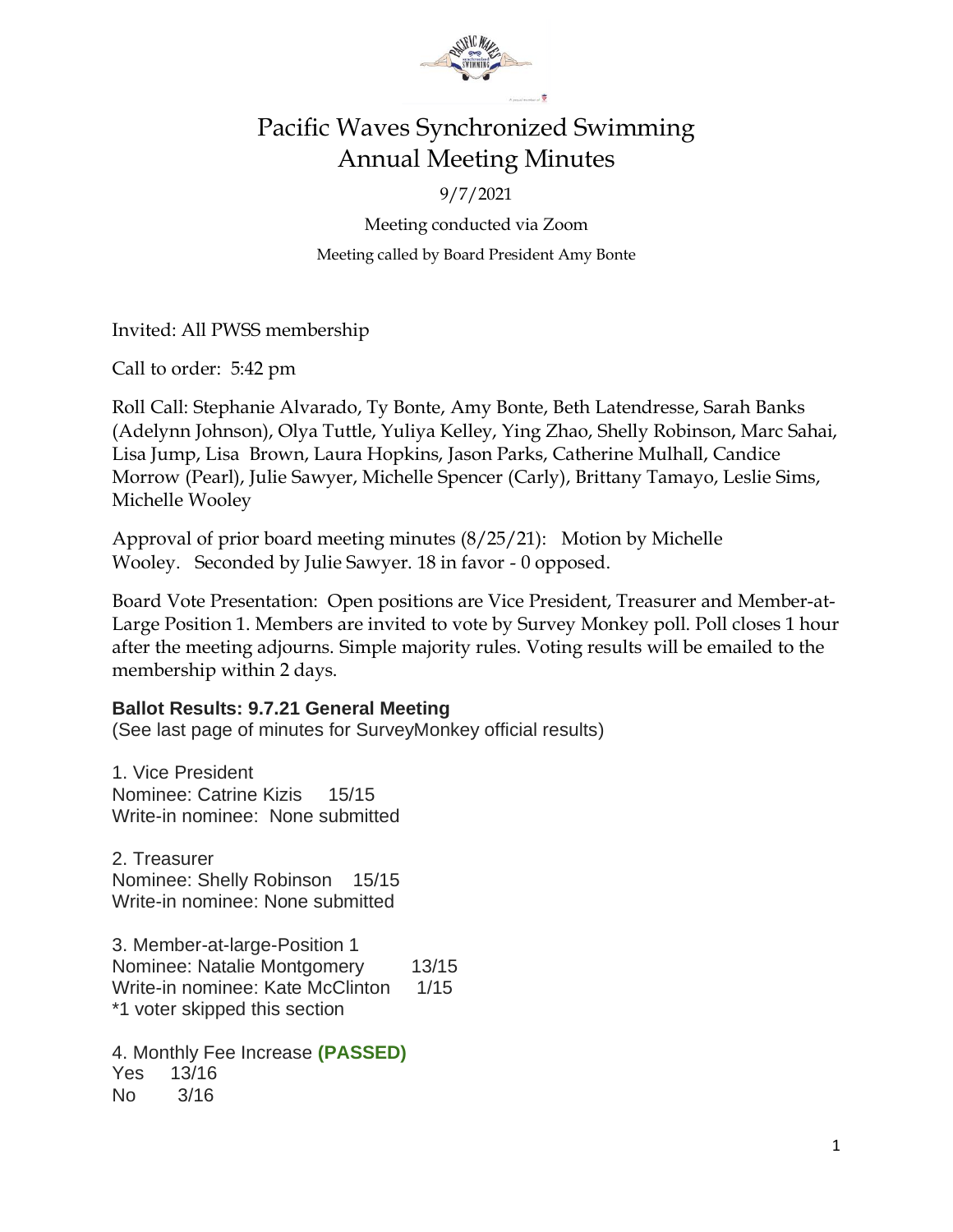

### Pacific Waves Synchronized Swimming Annual Meeting Minutes

9/7/2021

Meeting conducted via Zoom Meeting called by Board President Amy Bonte

Invited: All PWSS membership

Call to order: 5:42 pm

Roll Call: Stephanie Alvarado, Ty Bonte, Amy Bonte, Beth Latendresse, Sarah Banks (Adelynn Johnson), Olya Tuttle, Yuliya Kelley, Ying Zhao, Shelly Robinson, Marc Sahai, Lisa Jump, Lisa Brown, Laura Hopkins, Jason Parks, Catherine Mulhall, Candice Morrow (Pearl), Julie Sawyer, Michelle Spencer (Carly), Brittany Tamayo, Leslie Sims, Michelle Wooley

Approval of prior board meeting minutes (8/25/21): Motion by Michelle Wooley. Seconded by Julie Sawyer. 18 in favor - 0 opposed.

Board Vote Presentation: Open positions are Vice President, Treasurer and Member-at-Large Position 1. Members are invited to vote by Survey Monkey poll. Poll closes 1 hour after the meeting adjourns. Simple majority rules. Voting results will be emailed to the membership within 2 days.

### **Ballot Results: 9.7.21 General Meeting**

(See last page of minutes for SurveyMonkey official results)

1. Vice President Nominee: Catrine Kizis 15/15 Write-in nominee: None submitted

2. Treasurer Nominee: Shelly Robinson 15/15 Write-in nominee: None submitted

3. Member-at-large-Position 1 Nominee: Natalie Montgomery 13/15 Write-in nominee: Kate McClinton 1/15 \*1 voter skipped this section

4. Monthly Fee Increase **(PASSED)** Yes 13/16 No 3/16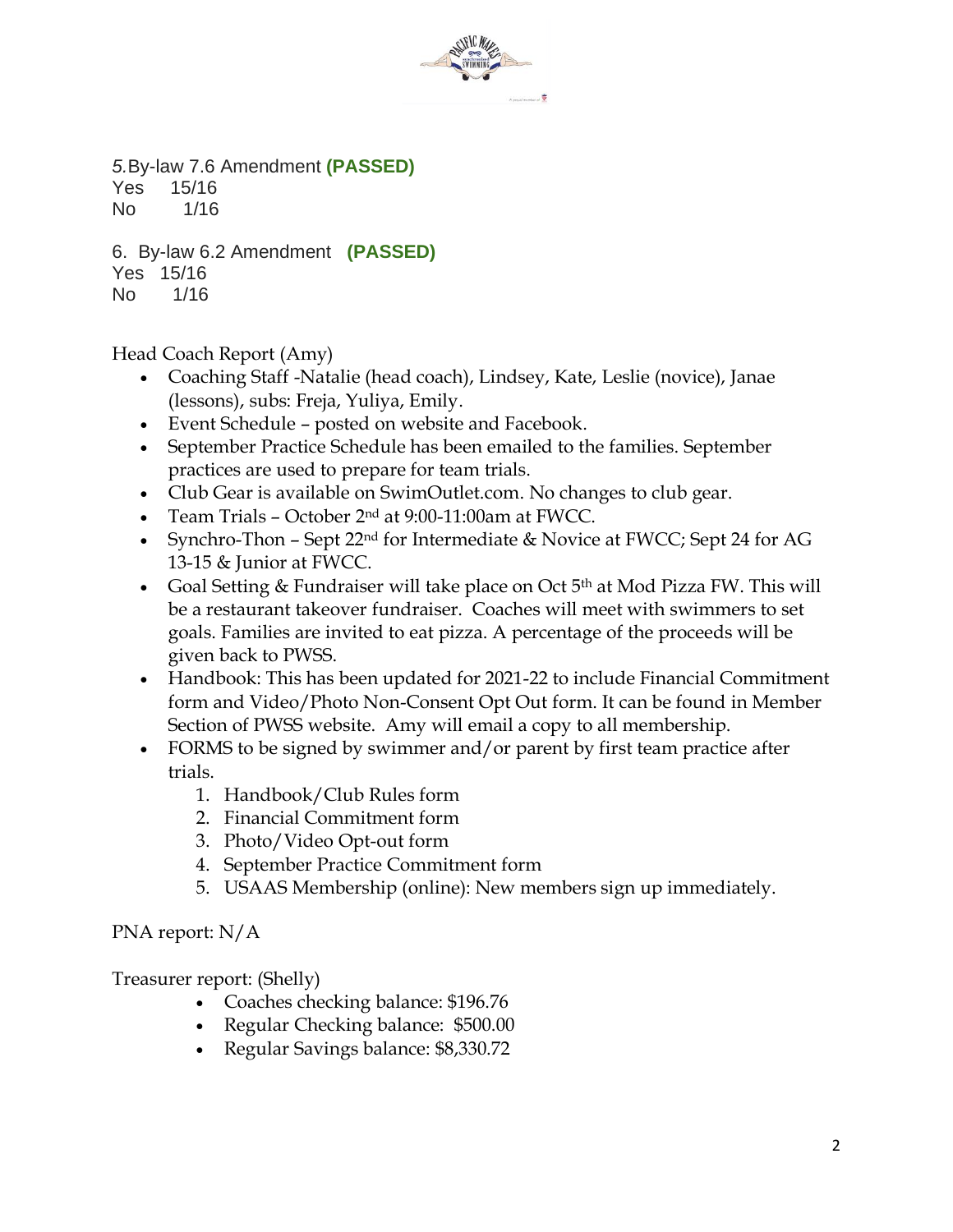

*5.*By-law 7.6 Amendment **(PASSED)** Yes 15/16

No 1/16 6. By-law 6.2 Amendment **(PASSED)**

Yes 15/16

No 1/16

Head Coach Report (Amy)

- Coaching Staff -Natalie (head coach), Lindsey, Kate, Leslie (novice), Janae (lessons), subs: Freja, Yuliya, Emily.
- Event Schedule posted on website and Facebook.
- September Practice Schedule has been emailed to the families. September practices are used to prepare for team trials.
- Club Gear is available on SwimOutlet.com. No changes to club gear.
- Team Trials October 2 nd at 9:00-11:00am at FWCC.
- Synchro-Thon Sept 22<sup>nd</sup> for Intermediate & Novice at FWCC; Sept 24 for AG 13-15 & Junior at FWCC.
- Goal Setting & Fundraiser will take place on Oct 5<sup>th</sup> at Mod Pizza FW. This will be a restaurant takeover fundraiser. Coaches will meet with swimmers to set goals. Families are invited to eat pizza. A percentage of the proceeds will be given back to PWSS.
- Handbook: This has been updated for 2021-22 to include Financial Commitment form and Video/Photo Non-Consent Opt Out form. It can be found in Member Section of PWSS website. Amy will email a copy to all membership.
- FORMS to be signed by swimmer and/or parent by first team practice after trials.
	- 1. Handbook/Club Rules form
	- 2. Financial Commitment form
	- 3. Photo/Video Opt-out form
	- 4. September Practice Commitment form
	- 5. USAAS Membership (online): New members sign up immediately.

PNA report: N/A

Treasurer report: (Shelly)

- Coaches checking balance: \$196.76
- Regular Checking balance: \$500.00
- Regular Savings balance: \$8,330.72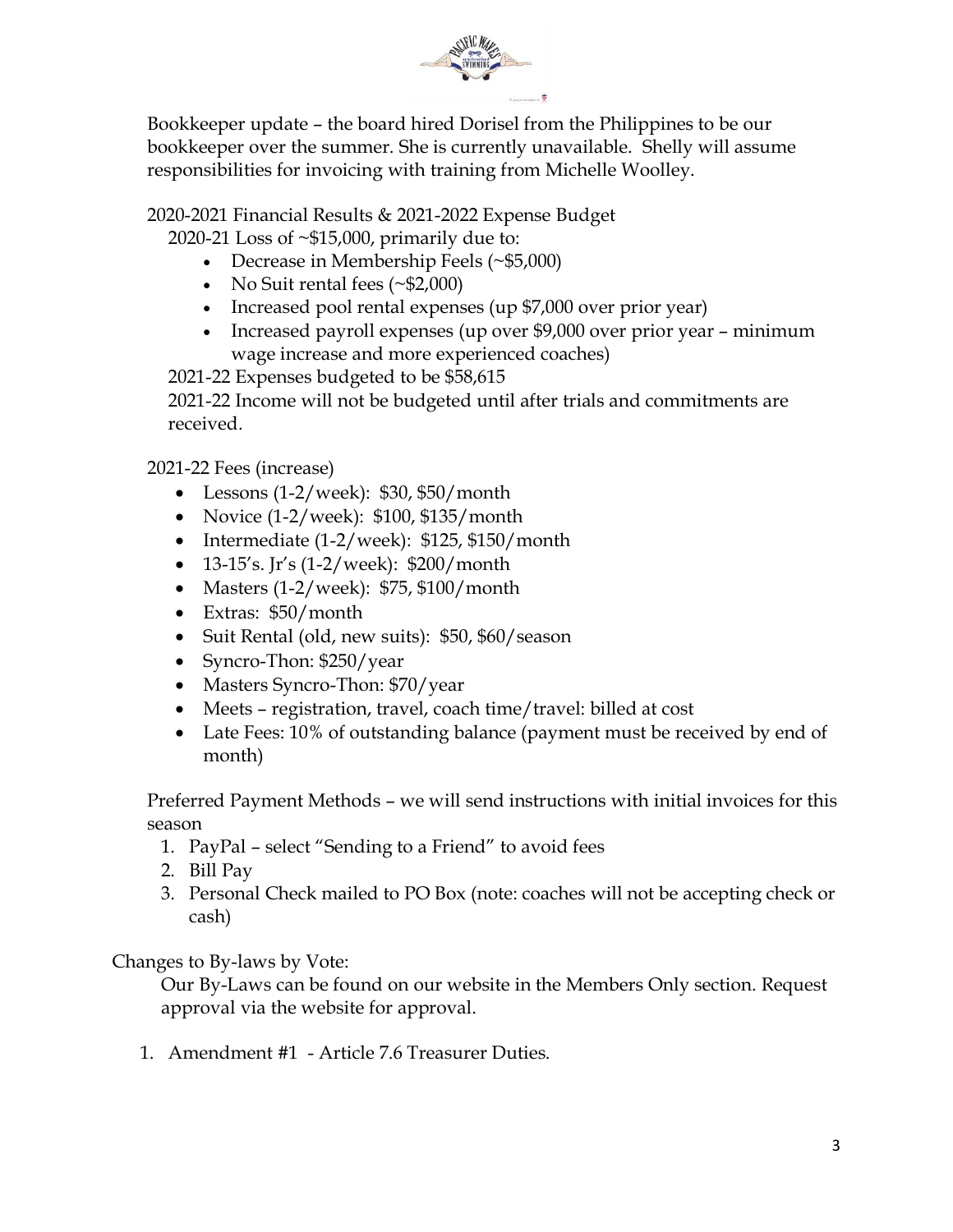

Bookkeeper update – the board hired Dorisel from the Philippines to be our bookkeeper over the summer. She is currently unavailable. Shelly will assume responsibilities for invoicing with training from Michelle Woolley.

### 2020-2021 Financial Results & 2021-2022 Expense Budget

2020-21 Loss of ~\$15,000, primarily due to:

- Decrease in Membership Feels (~\$5,000)
- No Suit rental fees (~\$2,000)
- Increased pool rental expenses (up \$7,000 over prior year)
- Increased payroll expenses (up over \$9,000 over prior year minimum wage increase and more experienced coaches)

2021-22 Expenses budgeted to be \$58,615

2021-22 Income will not be budgeted until after trials and commitments are received.

2021-22 Fees (increase)

- Lessons (1-2/week): \$30, \$50/month
- Novice (1-2/week): \$100, \$135/month
- Intermediate (1-2/week): \$125, \$150/month
- 13-15's. Jr's (1-2/week): \$200/month
- Masters (1-2/week): \$75, \$100/month
- Extras: \$50/month
- Suit Rental (old, new suits): \$50, \$60/ season
- Syncro-Thon: \$250/year
- Masters Syncro-Thon: \$70/year
- Meets registration, travel, coach time/travel: billed at cost
- Late Fees: 10% of outstanding balance (payment must be received by end of month)

Preferred Payment Methods – we will send instructions with initial invoices for this season

- 1. PayPal select "Sending to a Friend" to avoid fees
- 2. Bill Pay
- 3. Personal Check mailed to PO Box (note: coaches will not be accepting check or cash)

Changes to By-laws by Vote:

Our By-Laws can be found on our website in the Members Only section. Request approval via the website for approval.

1. Amendment #1 - Article 7.6 Treasurer Duties.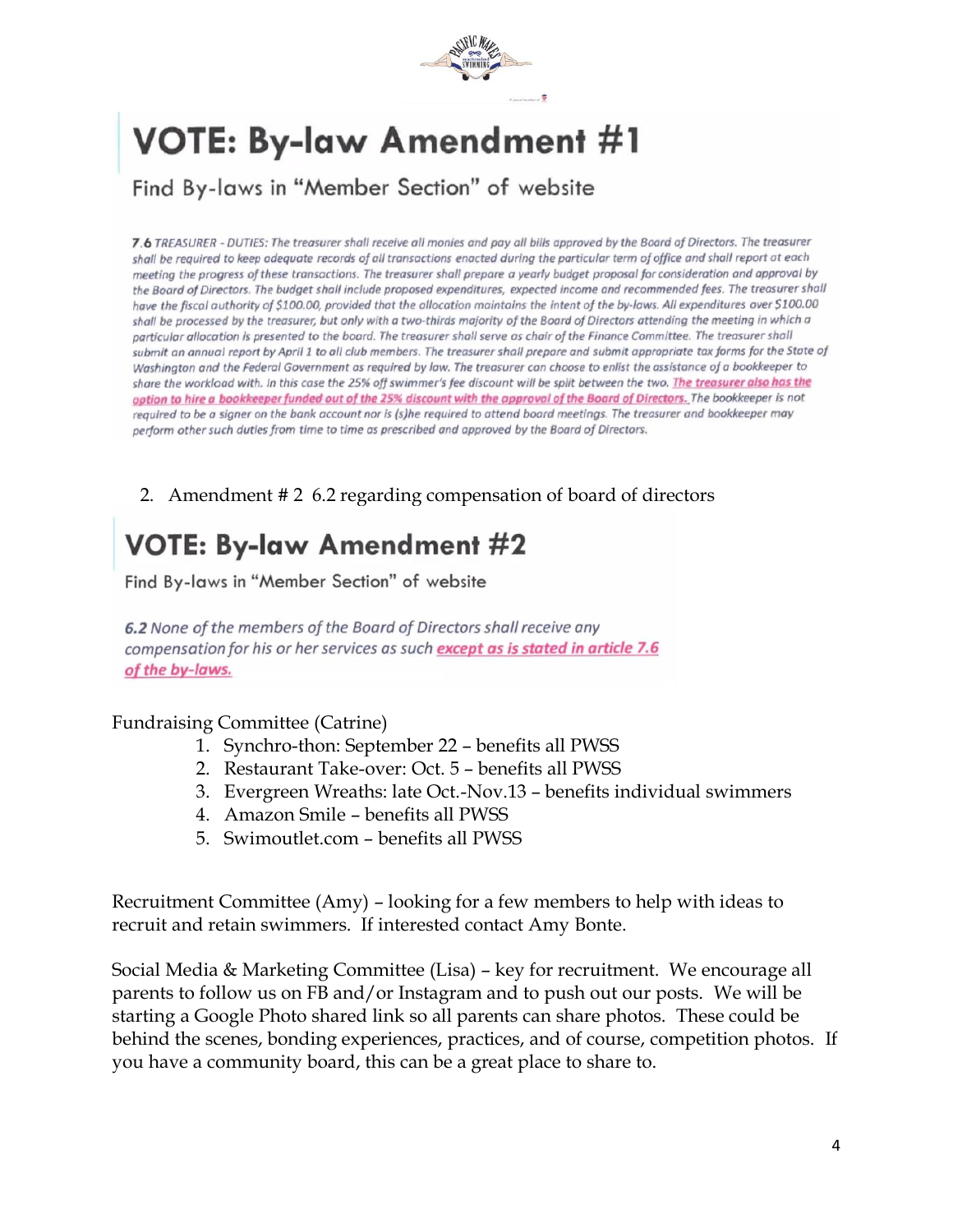

# **VOTE: By-law Amendment #1**

Find By-laws in "Member Section" of website

7.6 TREASURER - DUTIES: The treasurer shall receive all monies and pay all bills approved by the Board of Directors. The treasurer shall be required to keep adequate records of all transactions enacted during the particular term of office and shall report at each meeting the progress of these transactions. The treasurer shall prepare a yearly budget proposal for consideration and approval by the Board of Directors. The budget shall include proposed expenditures, expected income and recommended fees. The treasurer shall have the fiscal authority of \$100.00, provided that the allocation maintains the intent of the by-laws. All expenditures over \$100.00 shall be processed by the treasurer, but only with a two-thirds majority of the Board of Directors attending the meeting in which a particular allocation is presented to the board. The treasurer shall serve as chair of the Finance Committee. The treasurer shall submit an annual report by April 1 to all club members. The treasurer shall prepare and submit appropriate tax forms for the State of Washington and the Federal Government as required by law. The treasurer can choose to enlist the assistance of a bookkeeper to share the workload with. In this case the 25% off swimmer's fee discount will be split between the two. The treasurer also has the option to hire a bookkeeper funded out of the 25% discount with the approval of the Board of Directors. The bookkeeper is not required to be a signer on the bank account nor is (s)he required to attend board meetings. The treasurer and bookkeeper may perform other such duties from time to time as prescribed and approved by the Board of Directors.

2. Amendment # 2 6.2 regarding compensation of board of directors

## **VOTE: By-law Amendment #2**

Find By-laws in "Member Section" of website

6.2 None of the members of the Board of Directors shall receive any compensation for his or her services as such except as is stated in article 7.6 of the by-laws.

Fundraising Committee (Catrine)

- 1. Synchro-thon: September 22 benefits all PWSS
- 2. Restaurant Take-over: Oct. 5 benefits all PWSS
- 3. Evergreen Wreaths: late Oct.-Nov.13 benefits individual swimmers
- 4. Amazon Smile benefits all PWSS
- 5. Swimoutlet.com benefits all PWSS

Recruitment Committee (Amy) – looking for a few members to help with ideas to recruit and retain swimmers. If interested contact Amy Bonte.

Social Media & Marketing Committee (Lisa) – key for recruitment. We encourage all parents to follow us on FB and/or Instagram and to push out our posts. We will be starting a Google Photo shared link so all parents can share photos. These could be behind the scenes, bonding experiences, practices, and of course, competition photos. If you have a community board, this can be a great place to share to.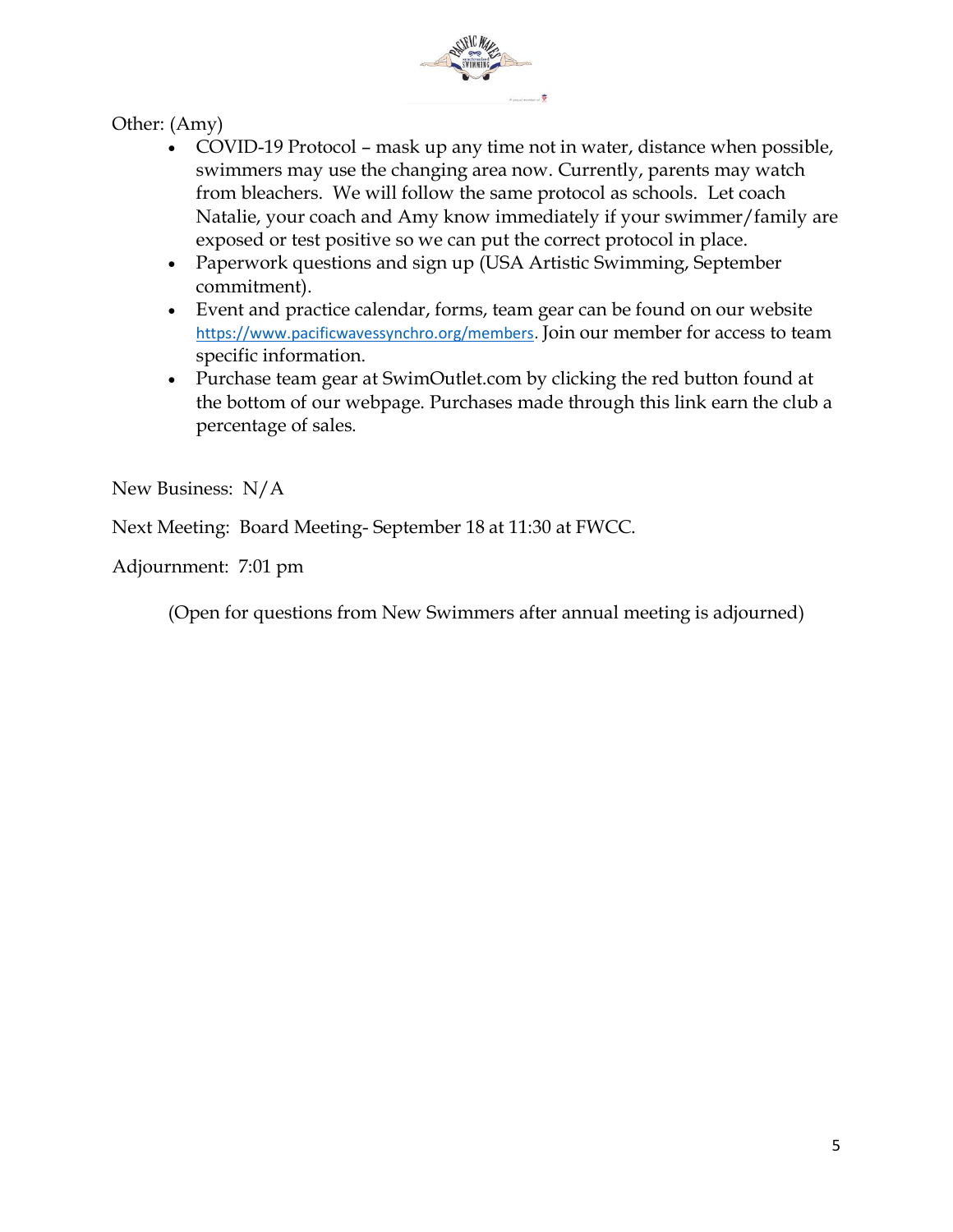

Other: (Amy)

- COVID-19 Protocol mask up any time not in water, distance when possible, swimmers may use the changing area now. Currently, parents may watch from bleachers. We will follow the same protocol as schools. Let coach Natalie, your coach and Amy know immediately if your swimmer/family are exposed or test positive so we can put the correct protocol in place.
- Paperwork questions and sign up (USA Artistic Swimming, September commitment).
- Event and practice calendar, forms, team gear can be found on our website [https://www.pacificwavessynchro.org/members.](https://www.pacificwavessynchro.org/members) Join our member for access to team specific information.
- Purchase team gear at SwimOutlet.com by clicking the red button found at the bottom of our webpage. Purchases made through this link earn the club a percentage of sales.

New Business: N/A

Next Meeting: Board Meeting- September 18 at 11:30 at FWCC.

Adjournment: 7:01 pm

(Open for questions from New Swimmers after annual meeting is adjourned)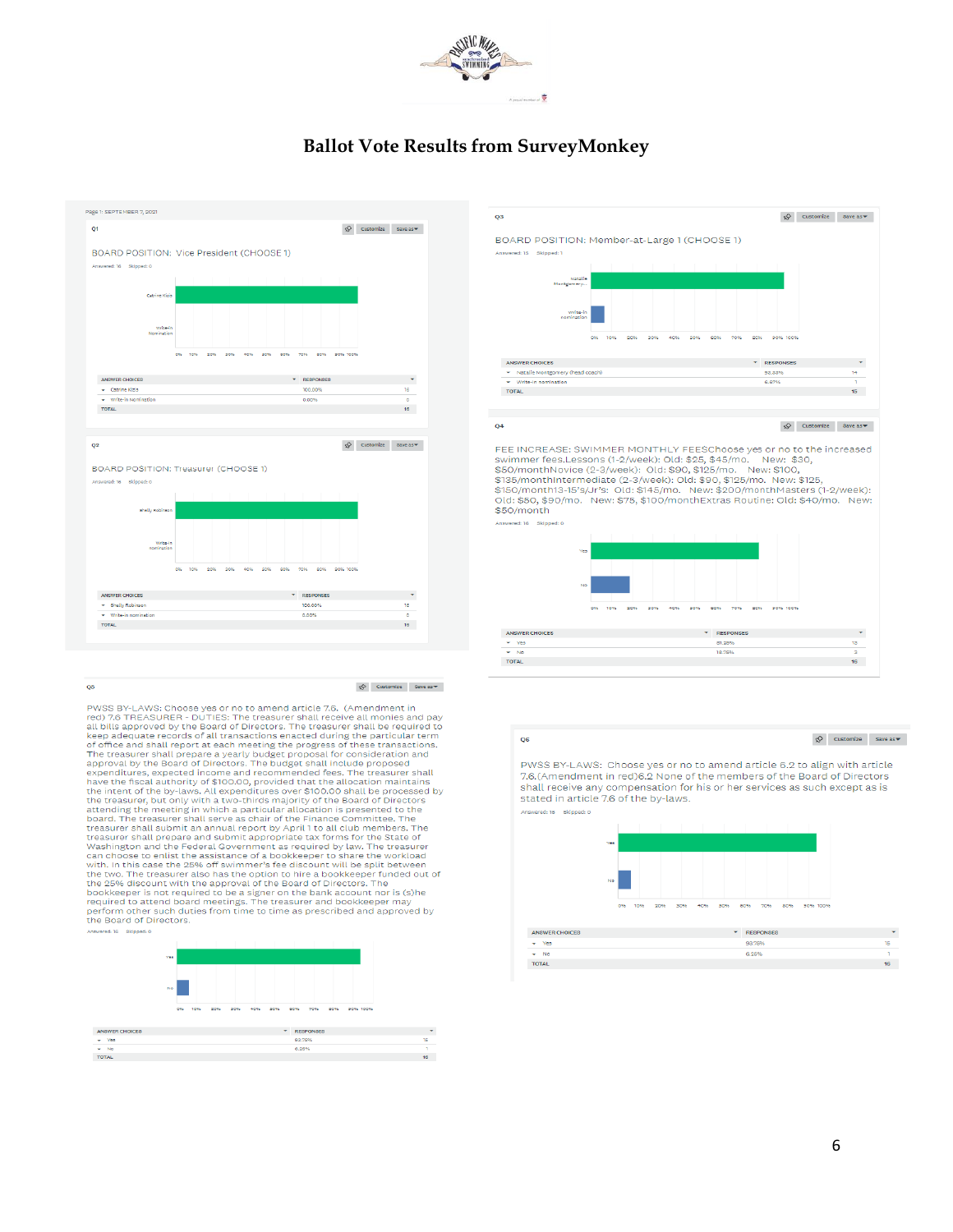

### **Ballot Vote Results from SurveyMonkey**



PWSS BY-LAWS: Choose ves or no to amend article 7.6. (Amendment in Provident DECISION of the UNITED: The treasurer shall receive all monies and pay<br>all bills approved by the Board of Directors. The treasurer shall receive all monies and pay<br>all bills approved by the Board of Directors. Th keep adequate records of all transactions enacted during the particular term<br>of office and shall report at each meeting the progress of these transactions.<br>The treasurer shall prepare a yearly budget proposal for considera board. The treasurer shall serve as chair of the Finance Committee. The treasurer shall submit an annual report by April 1 to all club members. The treasurer shall prepare and submit appropriate tax forms for the State of





rec inversions. Swimmer fees.Lessons (1-2/week): Old: \$25, \$45/mo. New: \$30,<br>Swimmer fees.Lessons (1-2/week): Old: \$25, \$45/mo. New: \$30,<br>\$50/monthNovice (2-3/week): Old: \$90, \$125/mo. New: \$100,<br>\$135/month11a-15's/Jr's: O Old: \$50, \$90/mo. New: \$75, \$100/monthExtras Routine: Old: \$40/mo. New: \$50/month

ered: 16 Ski



Q6

 $\oint$  Customize Save as  $\blacktriangledown$ 

PWSS BY-LAWS: Choose ves or no to amend article 6.2 to align with article 7.6.(Amendment in red)6.2 None of the members of the Board of Directors shall receive any compensation for his or her services as such except as is stated in article 7.6 of the by-laws. Answerad-18 Skinned-0